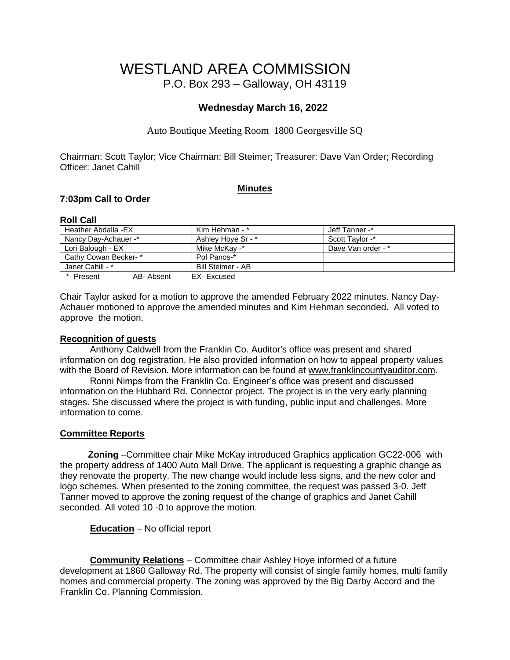# WESTLAND AREA COMMISSION P.O. Box 293 – Galloway, OH 43119

# **Wednesday March 16, 2022**

Auto Boutique Meeting Room 1800 Georgesville SQ

Chairman: Scott Taylor; Vice Chairman: Bill Steimer; Treasurer: Dave Van Order; Recording Officer: Janet Cahill

#### **Minutes**

## **7:03pm Call to Order**

## **Roll Call**

| Heather Abdalla -EX  |           | Kim Hehman - *     | Jeff Tanner -*     |  |
|----------------------|-----------|--------------------|--------------------|--|
| Nancy Day-Achauer -* |           | Ashlev Hove Sr - * | Scott Taylor -*    |  |
| Lori Balough - EX    |           | Mike McKav -*      | Dave Van order - * |  |
| Cathy Cowan Becker-* |           | Pol Panos-*        |                    |  |
| Janet Cahill - *     |           | Bill Steimer - AB  |                    |  |
| *- Present           | AB-Absent | EX-Excused         |                    |  |

Chair Taylor asked for a motion to approve the amended February 2022 minutes. Nancy Day-Achauer motioned to approve the amended minutes and Kim Hehman seconded. All voted to approve the motion.

#### **Recognition of guests**

Anthony Caldwell from the Franklin Co. Auditor's office was present and shared information on dog registration. He also provided information on how to appeal property values with the Board of Revision. More information can be found at [www.franklincountyauditor.com.](http://www.franklincountyauditor.com/)

Ronni Nimps from the Franklin Co. Engineer's office was present and discussed information on the Hubbard Rd. Connector project. The project is in the very early planning stages. She discussed where the project is with funding, public input and challenges. More information to come.

## **Committee Reports**

 **Zoning** –Committee chair Mike McKay introduced Graphics application GC22-006 with the property address of 1400 Auto Mall Drive. The applicant is requesting a graphic change as they renovate the property. The new change would include less signs, and the new color and logo schemes. When presented to the zoning committee, the request was passed 3-0. Jeff Tanner moved to approve the zoning request of the change of graphics and Janet Cahill seconded. All voted 10 -0 to approve the motion.

**Education** – No official report

**Community Relations** – Committee chair Ashley Hoye informed of a future development at 1860 Galloway Rd. The property will consist of single family homes, multi family homes and commercial property. The zoning was approved by the Big Darby Accord and the Franklin Co. Planning Commission.